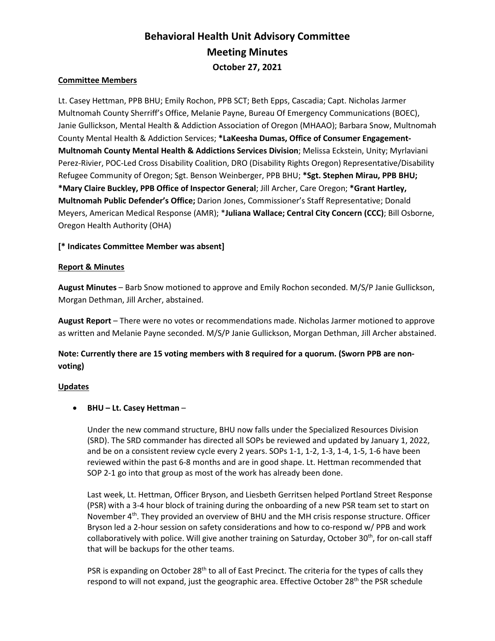# **Behavioral Health Unit Advisory Committee Meeting Minutes October 27, 2021**

#### **Committee Members**

Lt. Casey Hettman, PPB BHU; Emily Rochon, PPB SCT; Beth Epps, Cascadia; Capt. Nicholas Jarmer Multnomah County Sherriff's Office, Melanie Payne, Bureau Of Emergency Communications (BOEC), Janie Gullickson, Mental Health & Addiction Association of Oregon (MHAAO); Barbara Snow, Multnomah County Mental Health & Addiction Services; **\*LaKeesha Dumas, Office of Consumer Engagement-Multnomah County Mental Health & Addictions Services Division**; Melissa Eckstein, Unity; Myrlaviani Perez-Rivier, POC-Led Cross Disability Coalition, DRO (Disability Rights Oregon) Representative/Disability Refugee Community of Oregon; Sgt. Benson Weinberger, PPB BHU; **\*Sgt. Stephen Mirau, PPB BHU; \*Mary Claire Buckley, PPB Office of Inspector General**; Jill Archer, Care Oregon; **\*Grant Hartley, Multnomah Public Defender's Office;** Darion Jones, Commissioner's Staff Representative; Donald Meyers, American Medical Response (AMR); \***Juliana Wallace; Central City Concern (CCC)**; Bill Osborne, Oregon Health Authority (OHA)

#### **[\* Indicates Committee Member was absent]**

#### **Report & Minutes**

**August Minutes** – Barb Snow motioned to approve and Emily Rochon seconded. M/S/P Janie Gullickson, Morgan Dethman, Jill Archer, abstained.

**August Report** – There were no votes or recommendations made. Nicholas Jarmer motioned to approve as written and Melanie Payne seconded. M/S/P Janie Gullickson, Morgan Dethman, Jill Archer abstained.

# **Note: Currently there are 15 voting members with 8 required for a quorum. (Sworn PPB are nonvoting)**

#### **Updates**

#### • **BHU – Lt. Casey Hettman** –

Under the new command structure, BHU now falls under the Specialized Resources Division (SRD). The SRD commander has directed all SOPs be reviewed and updated by January 1, 2022, and be on a consistent review cycle every 2 years. SOPs 1-1, 1-2, 1-3, 1-4, 1-5, 1-6 have been reviewed within the past 6-8 months and are in good shape. Lt. Hettman recommended that SOP 2-1 go into that group as most of the work has already been done.

Last week, Lt. Hettman, Officer Bryson, and Liesbeth Gerritsen helped Portland Street Response (PSR) with a 3-4 hour block of training during the onboarding of a new PSR team set to start on November 4<sup>th</sup>. They provided an overview of BHU and the MH crisis response structure. Officer Bryson led a 2-hour session on safety considerations and how to co-respond w/ PPB and work collaboratively with police. Will give another training on Saturday, October 30<sup>th</sup>, for on-call staff that will be backups for the other teams.

PSR is expanding on October 28<sup>th</sup> to all of East Precinct. The criteria for the types of calls they respond to will not expand, just the geographic area. Effective October  $28<sup>th</sup>$  the PSR schedule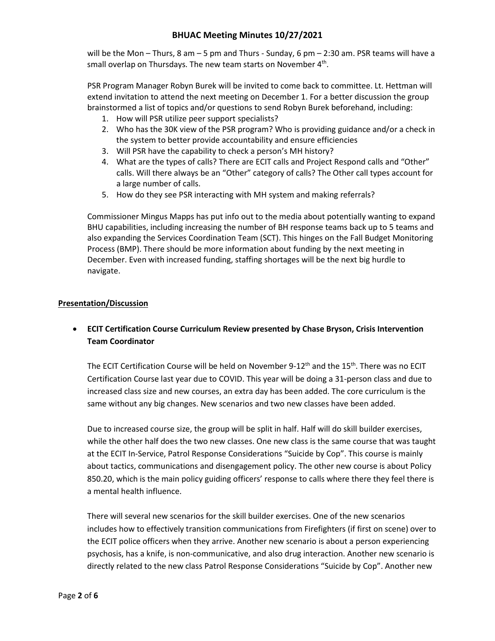will be the Mon – Thurs, 8 am – 5 pm and Thurs - Sunday, 6 pm – 2:30 am. PSR teams will have a small overlap on Thursdays. The new team starts on November 4<sup>th</sup>.

PSR Program Manager Robyn Burek will be invited to come back to committee. Lt. Hettman will extend invitation to attend the next meeting on December 1. For a better discussion the group brainstormed a list of topics and/or questions to send Robyn Burek beforehand, including:

- 1. How will PSR utilize peer support specialists?
- 2. Who has the 30K view of the PSR program? Who is providing guidance and/or a check in the system to better provide accountability and ensure efficiencies
- 3. Will PSR have the capability to check a person's MH history?
- 4. What are the types of calls? There are ECIT calls and Project Respond calls and "Other" calls. Will there always be an "Other" category of calls? The Other call types account for a large number of calls.
- 5. How do they see PSR interacting with MH system and making referrals?

Commissioner Mingus Mapps has put info out to the media about potentially wanting to expand BHU capabilities, including increasing the number of BH response teams back up to 5 teams and also expanding the Services Coordination Team (SCT). This hinges on the Fall Budget Monitoring Process (BMP). There should be more information about funding by the next meeting in December. Even with increased funding, staffing shortages will be the next big hurdle to navigate.

## **Presentation/Discussion**

# • **ECIT Certification Course Curriculum Review presented by Chase Bryson, Crisis Intervention Team Coordinator**

The ECIT Certification Course will be held on November 9-12<sup>th</sup> and the 15<sup>th</sup>. There was no ECIT Certification Course last year due to COVID. This year will be doing a 31-person class and due to increased class size and new courses, an extra day has been added. The core curriculum is the same without any big changes. New scenarios and two new classes have been added.

Due to increased course size, the group will be split in half. Half will do skill builder exercises, while the other half does the two new classes. One new class is the same course that was taught at the ECIT In-Service, Patrol Response Considerations "Suicide by Cop". This course is mainly about tactics, communications and disengagement policy. The other new course is about Policy 850.20, which is the main policy guiding officers' response to calls where there they feel there is a mental health influence.

There will several new scenarios for the skill builder exercises. One of the new scenarios includes how to effectively transition communications from Firefighters (if first on scene) over to the ECIT police officers when they arrive. Another new scenario is about a person experiencing psychosis, has a knife, is non-communicative, and also drug interaction. Another new scenario is directly related to the new class Patrol Response Considerations "Suicide by Cop". Another new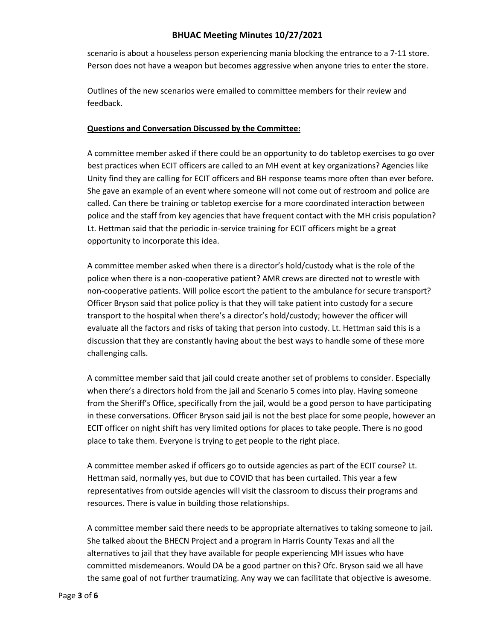scenario is about a houseless person experiencing mania blocking the entrance to a 7-11 store. Person does not have a weapon but becomes aggressive when anyone tries to enter the store.

Outlines of the new scenarios were emailed to committee members for their review and feedback.

#### **Questions and Conversation Discussed by the Committee:**

A committee member asked if there could be an opportunity to do tabletop exercises to go over best practices when ECIT officers are called to an MH event at key organizations? Agencies like Unity find they are calling for ECIT officers and BH response teams more often than ever before. She gave an example of an event where someone will not come out of restroom and police are called. Can there be training or tabletop exercise for a more coordinated interaction between police and the staff from key agencies that have frequent contact with the MH crisis population? Lt. Hettman said that the periodic in-service training for ECIT officers might be a great opportunity to incorporate this idea.

A committee member asked when there is a director's hold/custody what is the role of the police when there is a non-cooperative patient? AMR crews are directed not to wrestle with non-cooperative patients. Will police escort the patient to the ambulance for secure transport? Officer Bryson said that police policy is that they will take patient into custody for a secure transport to the hospital when there's a director's hold/custody; however the officer will evaluate all the factors and risks of taking that person into custody. Lt. Hettman said this is a discussion that they are constantly having about the best ways to handle some of these more challenging calls.

A committee member said that jail could create another set of problems to consider. Especially when there's a directors hold from the jail and Scenario 5 comes into play. Having someone from the Sheriff's Office, specifically from the jail, would be a good person to have participating in these conversations. Officer Bryson said jail is not the best place for some people, however an ECIT officer on night shift has very limited options for places to take people. There is no good place to take them. Everyone is trying to get people to the right place.

A committee member asked if officers go to outside agencies as part of the ECIT course? Lt. Hettman said, normally yes, but due to COVID that has been curtailed. This year a few representatives from outside agencies will visit the classroom to discuss their programs and resources. There is value in building those relationships.

A committee member said there needs to be appropriate alternatives to taking someone to jail. She talked about the BHECN Project and a program in Harris County Texas and all the alternatives to jail that they have available for people experiencing MH issues who have committed misdemeanors. Would DA be a good partner on this? Ofc. Bryson said we all have the same goal of not further traumatizing. Any way we can facilitate that objective is awesome.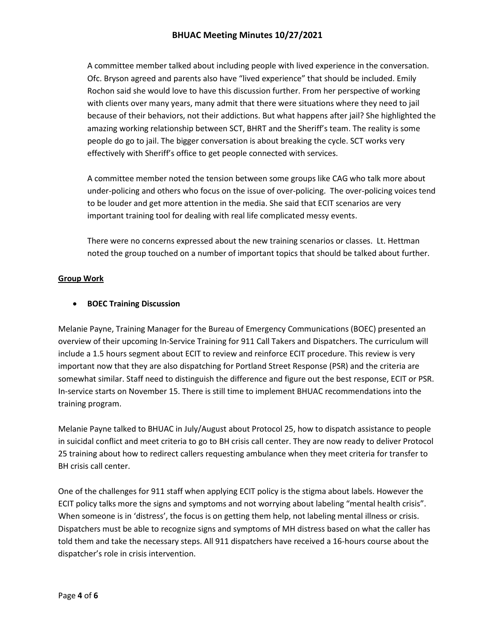A committee member talked about including people with lived experience in the conversation. Ofc. Bryson agreed and parents also have "lived experience" that should be included. Emily Rochon said she would love to have this discussion further. From her perspective of working with clients over many years, many admit that there were situations where they need to jail because of their behaviors, not their addictions. But what happens after jail? She highlighted the amazing working relationship between SCT, BHRT and the Sheriff's team. The reality is some people do go to jail. The bigger conversation is about breaking the cycle. SCT works very effectively with Sheriff's office to get people connected with services.

A committee member noted the tension between some groups like CAG who talk more about under-policing and others who focus on the issue of over-policing. The over-policing voices tend to be louder and get more attention in the media. She said that ECIT scenarios are very important training tool for dealing with real life complicated messy events.

There were no concerns expressed about the new training scenarios or classes. Lt. Hettman noted the group touched on a number of important topics that should be talked about further.

## **Group Work**

#### • **BOEC Training Discussion**

Melanie Payne, Training Manager for the Bureau of Emergency Communications (BOEC) presented an overview of their upcoming In-Service Training for 911 Call Takers and Dispatchers. The curriculum will include a 1.5 hours segment about ECIT to review and reinforce ECIT procedure. This review is very important now that they are also dispatching for Portland Street Response (PSR) and the criteria are somewhat similar. Staff need to distinguish the difference and figure out the best response, ECIT or PSR. In-service starts on November 15. There is still time to implement BHUAC recommendations into the training program.

Melanie Payne talked to BHUAC in July/August about Protocol 25, how to dispatch assistance to people in suicidal conflict and meet criteria to go to BH crisis call center. They are now ready to deliver Protocol 25 training about how to redirect callers requesting ambulance when they meet criteria for transfer to BH crisis call center.

One of the challenges for 911 staff when applying ECIT policy is the stigma about labels. However the ECIT policy talks more the signs and symptoms and not worrying about labeling "mental health crisis". When someone is in 'distress', the focus is on getting them help, not labeling mental illness or crisis. Dispatchers must be able to recognize signs and symptoms of MH distress based on what the caller has told them and take the necessary steps. All 911 dispatchers have received a 16-hours course about the dispatcher's role in crisis intervention.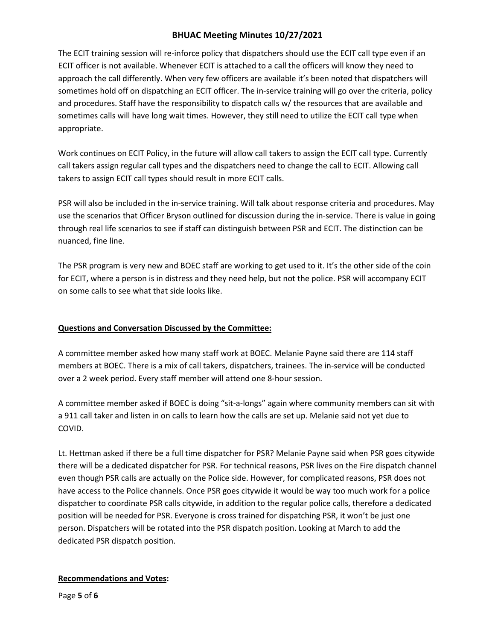The ECIT training session will re-inforce policy that dispatchers should use the ECIT call type even if an ECIT officer is not available. Whenever ECIT is attached to a call the officers will know they need to approach the call differently. When very few officers are available it's been noted that dispatchers will sometimes hold off on dispatching an ECIT officer. The in-service training will go over the criteria, policy and procedures. Staff have the responsibility to dispatch calls w/ the resources that are available and sometimes calls will have long wait times. However, they still need to utilize the ECIT call type when appropriate.

Work continues on ECIT Policy, in the future will allow call takers to assign the ECIT call type. Currently call takers assign regular call types and the dispatchers need to change the call to ECIT. Allowing call takers to assign ECIT call types should result in more ECIT calls.

PSR will also be included in the in-service training. Will talk about response criteria and procedures. May use the scenarios that Officer Bryson outlined for discussion during the in-service. There is value in going through real life scenarios to see if staff can distinguish between PSR and ECIT. The distinction can be nuanced, fine line.

The PSR program is very new and BOEC staff are working to get used to it. It's the other side of the coin for ECIT, where a person is in distress and they need help, but not the police. PSR will accompany ECIT on some calls to see what that side looks like.

# **Questions and Conversation Discussed by the Committee:**

A committee member asked how many staff work at BOEC. Melanie Payne said there are 114 staff members at BOEC. There is a mix of call takers, dispatchers, trainees. The in-service will be conducted over a 2 week period. Every staff member will attend one 8-hour session.

A committee member asked if BOEC is doing "sit-a-longs" again where community members can sit with a 911 call taker and listen in on calls to learn how the calls are set up. Melanie said not yet due to COVID.

Lt. Hettman asked if there be a full time dispatcher for PSR? Melanie Payne said when PSR goes citywide there will be a dedicated dispatcher for PSR. For technical reasons, PSR lives on the Fire dispatch channel even though PSR calls are actually on the Police side. However, for complicated reasons, PSR does not have access to the Police channels. Once PSR goes citywide it would be way too much work for a police dispatcher to coordinate PSR calls citywide, in addition to the regular police calls, therefore a dedicated position will be needed for PSR. Everyone is cross trained for dispatching PSR, it won't be just one person. Dispatchers will be rotated into the PSR dispatch position. Looking at March to add the dedicated PSR dispatch position.

# **Recommendations and Votes:**

Page **5** of **6**